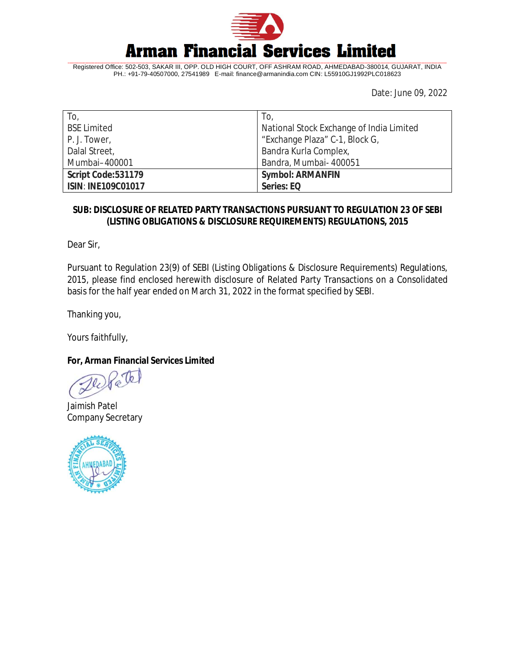

Registered Office: 502-503, SAKAR III, OPP. OLD HIGH COURT, OFF ASHRAM ROAD, AHMEDABAD-380014, GUJARAT, INDIA PH.: +91-79-40507000, 27541989 E-mail: [finance@armanindia.com](mailto:finance@armanindia.com) CIN: L55910GJ1992PLC018623

Date: June 09, 2022

| To,                       | To,                                      |
|---------------------------|------------------------------------------|
| <b>BSE Limited</b>        | National Stock Exchange of India Limited |
| P. J. Tower,              | "Exchange Plaza" C-1, Block G,           |
| Dalal Street,             | Bandra Kurla Complex,                    |
| Mumbai-400001             | Bandra, Mumbai- 400051                   |
| Script Code: 531179       | <b>Symbol: ARMANFIN</b>                  |
| <b>ISIN: INE109C01017</b> | Series: EQ                               |

## **SUB: DISCLOSURE OF RELATED PARTY TRANSACTIONS PURSUANT TO REGULATION 23 OF SEBI (LISTING OBLIGATIONS & DISCLOSURE REQUIREMENTS) REGULATIONS, 2015**

Dear Sir,

Pursuant to Regulation 23(9) of SEBI (Listing Obligations & Disclosure Requirements) Regulations, 2015, please find enclosed herewith disclosure of Related Party Transactions on a Consolidated basis for the half year ended on March 31, 2022 in the format specified by SEBI.

Thanking you,

Yours faithfully,

## **For, Arman Financial Services Limited**

Jaimish Patel Company Secretary

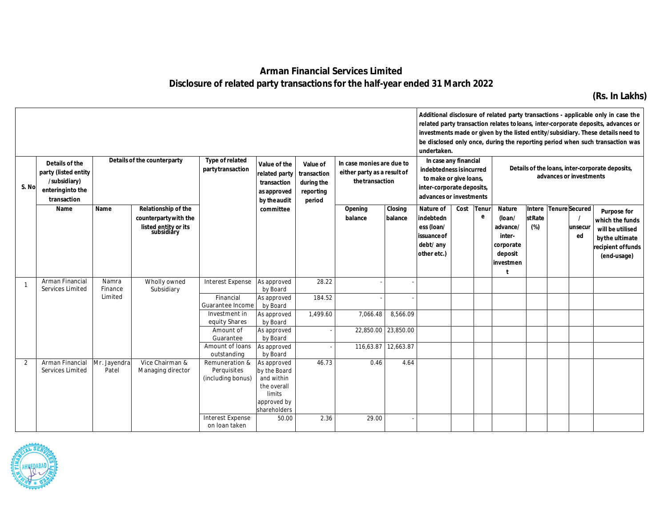## **Arman Financial Services Limited Disclosure of related party transactions for the half-year ended 31 March 2022**

**(Rs. In Lakhs)**

| undertaken.<br>Details of the counterparty<br>Type of related<br>Details of the<br>In case monies are due to<br>Value of the<br>Value of |                                                                          |                             |                                                                                    |                                                                                            |                                                                                                   |                                                  |                                                |                                                        |                                                                                                            | In case any financial |            |                                                                                    |                         |  |                                        | Additional disclosure of related party transactions - applicable only in case the<br>related party transaction relates to loans, inter-corporate deposits, advances or<br>investments made or given by the listed entity/subsidiary. These details need to<br>be disclosed only once, during the reporting period when such transaction was |
|------------------------------------------------------------------------------------------------------------------------------------------|--------------------------------------------------------------------------|-----------------------------|------------------------------------------------------------------------------------|--------------------------------------------------------------------------------------------|---------------------------------------------------------------------------------------------------|--------------------------------------------------|------------------------------------------------|--------------------------------------------------------|------------------------------------------------------------------------------------------------------------|-----------------------|------------|------------------------------------------------------------------------------------|-------------------------|--|----------------------------------------|---------------------------------------------------------------------------------------------------------------------------------------------------------------------------------------------------------------------------------------------------------------------------------------------------------------------------------------------|
| S. No                                                                                                                                    | party (listed entity<br>/subsidiary)<br>entering into the<br>transaction |                             |                                                                                    | partytransaction<br>related party<br>transaction<br>as approved<br>by the audit            |                                                                                                   | transaction<br>during the<br>reporting<br>period | either party as a result of<br>the transaction |                                                        | indebtedness is incurred<br>to make or give loans,<br>inter-corporate deposits,<br>advances or investments |                       |            | Details of the loans, inter-corporate deposits,<br>advances or investments         |                         |  |                                        |                                                                                                                                                                                                                                                                                                                                             |
|                                                                                                                                          | Name                                                                     | Name                        | Relationship of the<br>counterparty with the<br>listed entity or its<br>subsidiary |                                                                                            | committee                                                                                         |                                                  | Opening<br>balance                             | Closing<br>balance                                     | Nature of<br>indebtedn<br>ess (loan/<br>issuance of<br>debt/ any<br>other etc.)                            | Cost                  | Tenur<br>e | <b>Nature</b><br>(loan/<br>advance/<br>inter-<br>corporate<br>deposit<br>investmen | <b>stRate</b><br>$(\%)$ |  | Intere Tenure Secured<br>unsecur<br>ed | <b>Purpose for</b><br>which the funds<br>will be utilised<br>by the ultimate<br>recipient of funds<br>(end-usage)                                                                                                                                                                                                                           |
|                                                                                                                                          | Arman Financial<br>Services Limited                                      | Namra<br>Finance<br>Limited | Wholly owned<br>Subsidiary                                                         | <b>Interest Expense</b><br>Financial<br>Guarantee Income                                   | As approved<br>by Board<br>As approved<br>by Board                                                | 28.22<br>184.52                                  |                                                |                                                        |                                                                                                            |                       |            |                                                                                    |                         |  |                                        |                                                                                                                                                                                                                                                                                                                                             |
|                                                                                                                                          |                                                                          |                             |                                                                                    | Investment in<br>equity Shares<br>Amount of<br>Guarantee<br>Amount of Ioans<br>outstanding | As approved<br>by Board<br>As approved<br>by Board<br>As approved<br>by Board                     | 1,499.60                                         | 7,066.48                                       | 8,566.09<br>22,850.00 23,850.00<br>116,63.87 12,663.87 |                                                                                                            |                       |            |                                                                                    |                         |  |                                        |                                                                                                                                                                                                                                                                                                                                             |
| 2                                                                                                                                        | Arman Financial<br>Services Limited                                      | Mr. Jayendra<br>Patel       | Vice Chairman &<br>Managing director                                               | Remuneration &<br>Perquisites<br>(including bonus)                                         | As approved<br>by the Board<br>and within<br>the overall<br>limits<br>approved by<br>shareholders | 46.73                                            | 0.46                                           | 4.64                                                   |                                                                                                            |                       |            |                                                                                    |                         |  |                                        |                                                                                                                                                                                                                                                                                                                                             |
|                                                                                                                                          |                                                                          |                             |                                                                                    | <b>Interest Expense</b><br>on loan taken                                                   | 50.00                                                                                             | 2.36                                             | 29.00                                          |                                                        |                                                                                                            |                       |            |                                                                                    |                         |  |                                        |                                                                                                                                                                                                                                                                                                                                             |

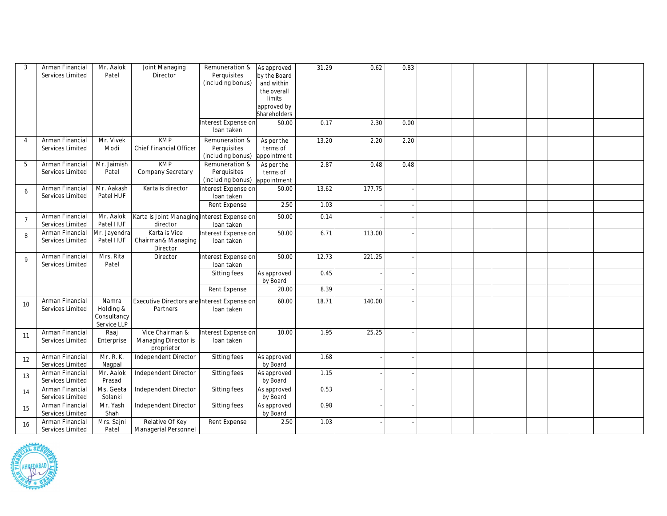| $\overline{3}$ | Arman Financial<br>Services Limited | Mr. Aalok<br>Patel                               | Joint Managing<br>Director                              | Remuneration &<br>Perquisites<br>(including bonus)<br>Interest Expense on | As approved<br>by the Board<br>and within<br>the overall<br>limits<br>approved by<br>Shareholders<br>50.00 | 31.29<br>0.17 | 0.62<br>2.30 | 0.83<br>0.00 |  |  |  |  |
|----------------|-------------------------------------|--------------------------------------------------|---------------------------------------------------------|---------------------------------------------------------------------------|------------------------------------------------------------------------------------------------------------|---------------|--------------|--------------|--|--|--|--|
|                |                                     |                                                  |                                                         | loan taken                                                                |                                                                                                            |               |              |              |  |  |  |  |
| $\overline{4}$ | Arman Financial<br>Services Limited | Mr. Vivek<br>Modi                                | <b>KMP</b><br>Chief Financial Officer                   | Remuneration &<br>Perquisites<br>(including bonus)                        | As per the<br>terms of<br>appointment                                                                      | 13.20         | 2.20         | 2.20         |  |  |  |  |
| 5              | Arman Financial<br>Services Limited | Mr. Jaimish<br>Patel                             | KMP<br><b>Company Secretary</b>                         | Remuneration &<br>Perquisites<br>(including bonus)                        | As per the<br>terms of<br>appointment                                                                      | 2.87          | 0.48         | 0.48         |  |  |  |  |
| 6              | Arman Financial<br>Services Limited | Mr. Aakash<br>Patel HUF                          | Karta is director                                       | Interest Expense on<br>loan taken                                         | 50.00                                                                                                      | 13.62         | 177.75       |              |  |  |  |  |
|                |                                     |                                                  |                                                         | Rent Expense                                                              | 2.50                                                                                                       | 1.03          |              |              |  |  |  |  |
| $\overline{7}$ | Arman Financial<br>Services Limited | Mr. Aalok<br>Patel HUF                           | Karta is Joint Managing Interest Expense on<br>director | loan taken                                                                | 50.00                                                                                                      | 0.14          |              |              |  |  |  |  |
| 8              | Arman Financial<br>Services Limited | Mr. Jayendra<br>Patel HUF                        | Karta is Vice<br>Chairman& Managing<br>Director         | Interest Expense on<br>Ioan taken                                         | 50.00                                                                                                      | 6.71          | 113.00       |              |  |  |  |  |
| $\overline{9}$ | Arman Financial<br>Services Limited | Mrs. Rita<br>Patel                               | Director                                                | Interest Expense on<br>loan taken                                         | 50.00                                                                                                      | 12.73         | 221.25       |              |  |  |  |  |
|                |                                     |                                                  |                                                         | Sitting fees                                                              | As approved<br>by Board                                                                                    | 0.45          |              |              |  |  |  |  |
|                |                                     |                                                  |                                                         | Rent Expense                                                              | 20.00                                                                                                      | 8.39          |              |              |  |  |  |  |
| 10             | Arman Financial<br>Services Limited | Namra<br>Holding &<br>Consultancy<br>Service LLP | Executive Directors are Interest Expense on<br>Partners | loan taken                                                                | 60.00                                                                                                      | 18.71         | 140.00       |              |  |  |  |  |
| 11             | Arman Financial<br>Services Limited | Raaj<br>Enterprise                               | Vice Chairman &<br>Managing Director is<br>proprietor   | Interest Expense on<br>Ioan taken                                         | 10.00                                                                                                      | 1.95          | 25.25        |              |  |  |  |  |
| 12             | Arman Financial<br>Services Limited | Mr. R. K.<br>Nagpal                              | Independent Director                                    | Sitting fees                                                              | As approved<br>by Board                                                                                    | 1.68          |              |              |  |  |  |  |
| 13             | Arman Financial<br>Services Limited | Mr. Aalok<br>Prasad                              | Independent Director                                    | Sitting fees                                                              | As approved<br>by Board                                                                                    | 1.15          |              |              |  |  |  |  |
| 14             | Arman Financial<br>Services Limited | Ms. Geeta<br>Solanki                             | <b>Independent Director</b>                             | Sitting fees                                                              | As approved<br>by Board                                                                                    | 0.53          |              |              |  |  |  |  |
| 15             | Arman Financial<br>Services Limited | Mr. Yash<br>Shah                                 | Independent Director                                    | Sitting fees                                                              | As approved<br>by Board                                                                                    | 0.98          |              |              |  |  |  |  |
| 16             | Arman Financial<br>Services Limited | Mrs. Sajni<br>Patel                              | Relative Of Key<br>Managerial Personnel                 | Rent Expense                                                              | 2.50                                                                                                       | 1.03          |              |              |  |  |  |  |